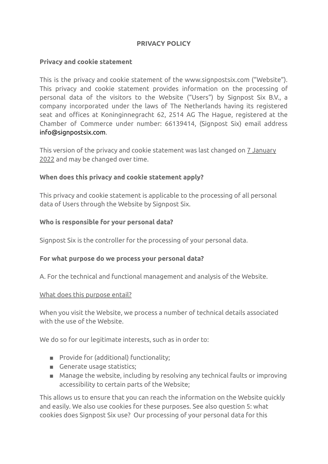# **PRIVACY POLICY**

### **Privacy and cookie statement**

This is the privacy and cookie statement of the www.signpostsix.com ("Website"). This privacy and cookie statement provides information on the processing of personal data of the visitors to the Website ("Users") by Signpost Six B.V., a company incorporated under the laws of The Netherlands having its registered seat and offices at Koninginnegracht 62, 2514 AG The Hague, registered at the Chamber of Commerce under number: 66139414, (Signpost Six) email address [info@signpostsix.com.](https://www.signpostsix.com/privacy-policy/info@signpostsix.com)

This version of the privacy and cookie statement was last changed on 7 January 2022 and may be changed over time.

## **When does this privacy and cookie statement apply?**

This privacy and cookie statement is applicable to the processing of all personal data of Users through the Website by Signpost Six.

#### **Who is responsible for your personal data?**

Signpost Six is the controller for the processing of your personal data.

#### **For what purpose do we process your personal data?**

A. For the technical and functional management and analysis of the Website.

#### What does this purpose entail?

When you visit the Website, we process a number of technical details associated with the use of the Website.

We do so for our legitimate interests, such as in order to:

- Provide for (additional) functionality;
- Generate usage statistics;
- Manage the website, including by resolving any technical faults or improving accessibility to certain parts of the Website;

This allows us to ensure that you can reach the information on the Website quickly and easily. We also use cookies for these purposes. See also question 5: what cookies does Signpost Six use? Our processing of your personal data for this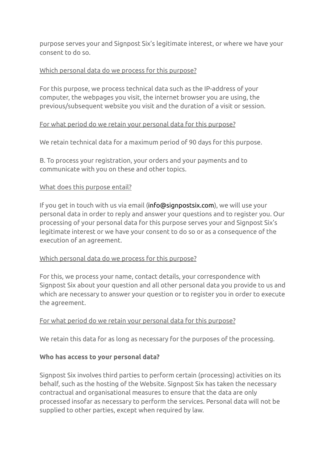purpose serves your and Signpost Six's legitimate interest, or where we have your consent to do so.

### Which personal data do we process for this purpose?

For this purpose, we process technical data such as the IP-address of your computer, the webpages you visit, the internet browser you are using, the previous/subsequent website you visit and the duration of a visit or session.

## For what period do we retain your personal data for this purpose?

We retain technical data for a maximum period of 90 days for this purpose.

B. To process your registration, your orders and your payments and to communicate with you on these and other topics.

#### What does this purpose entail?

If you get in touch with us via email [\(info@signpostsix.com](https://www.signpostsix.com/privacy-policy/info@signpostsix.com)), we will use your personal data in order to reply and answer your questions and to register you. Our processing of your personal data for this purpose serves your and Signpost Six's legitimate interest or we have your consent to do so or as a consequence of the execution of an agreement.

#### Which personal data do we process for this purpose?

For this, we process your name, contact details, your correspondence with Signpost Six about your question and all other personal data you provide to us and which are necessary to answer your question or to register you in order to execute the agreement.

#### For what period do we retain your personal data for this purpose?

We retain this data for as long as necessary for the purposes of the processing.

#### **Who has access to your personal data?**

Signpost Six involves third parties to perform certain (processing) activities on its behalf, such as the hosting of the Website. Signpost Six has taken the necessary contractual and organisational measures to ensure that the data are only processed insofar as necessary to perform the services. Personal data will not be supplied to other parties, except when required by law.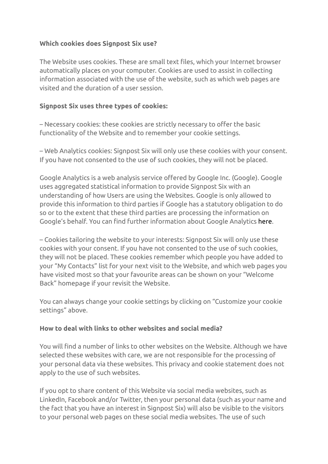# **Which cookies does Signpost Six use?**

The Website uses cookies. These are small text files, which your Internet browser automatically places on your computer. Cookies are used to assist in collecting information associated with the use of the website, such as which web pages are visited and the duration of a user session.

## **Signpost Six uses three types of cookies:**

– Necessary cookies: these cookies are strictly necessary to offer the basic functionality of the Website and to remember your cookie settings.

– Web Analytics cookies: Signpost Six will only use these cookies with your consent. If you have not consented to the use of such cookies, they will not be placed.

Google Analytics is a web analysis service offered by Google Inc. (Google). Google uses aggregated statistical information to provide Signpost Six with an understanding of how Users are using the Websites. Google is only allowed to provide this information to third parties if Google has a statutory obligation to do so or to the extent that these third parties are processing the information on Google's behalf. You can find further information about Google Analytics [here](http://www.google.com/analytics/learn/privacy.html).

– Cookies tailoring the website to your interests: Signpost Six will only use these cookies with your consent. If you have not consented to the use of such cookies, they will not be placed. These cookies remember which people you have added to your "My Contacts" list for your next visit to the Website, and which web pages you have visited most so that your favourite areas can be shown on your "Welcome Back" homepage if your revisit the Website.

You can always change your cookie settings by clicking on "Customize your cookie settings" above.

#### **How to deal with links to other websites and social media?**

You will find a number of links to other websites on the Website. Although we have selected these websites with care, we are not responsible for the processing of your personal data via these websites. This privacy and cookie statement does not apply to the use of such websites.

If you opt to share content of this Website via social media websites, such as LinkedIn, Facebook and/or Twitter, then your personal data (such as your name and the fact that you have an interest in Signpost Six) will also be visible to the visitors to your personal web pages on these social media websites. The use of such